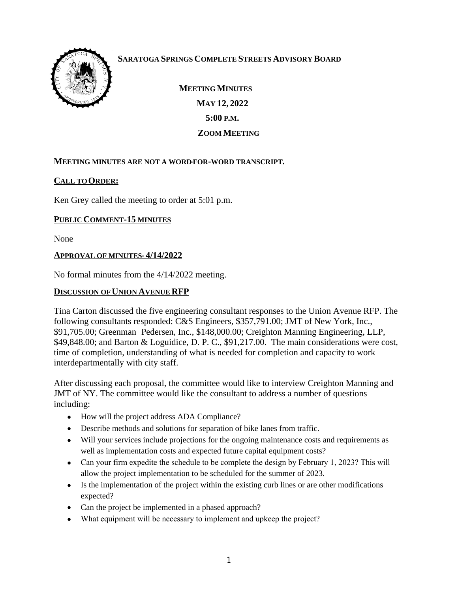

# **SARATOGA SPRINGS COMPLETE STREETS ADVISORY BOARD**

 **MEETING MINUTES MAY 12, 2022 5:00 P.M. ZOOM MEETING**

### **MEETING MINUTES ARE NOT A WORD-FOR-WORD TRANSCRIPT.**

### **CALL TO ORDER:**

Ken Grey called the meeting to order at 5:01 p.m.

### **PUBLIC COMMENT-15 MINUTES**

None

#### **APPROVAL OF MINUTES- 4/14/2022**

No formal minutes from the 4/14/2022 meeting.

#### **DISCUSSION OF UNION AVENUE RFP**

Tina Carton discussed the five engineering consultant responses to the Union Avenue RFP. The following consultants responded: C&S Engineers, \$357,791.00; JMT of New York, Inc., \$91,705.00; Greenman Pedersen, Inc., \$148,000.00; Creighton Manning Engineering, LLP, \$49,848.00; and Barton & Loguidice, D. P. C., \$91,217.00. The main considerations were cost, time of completion, understanding of what is needed for completion and capacity to work interdepartmentally with city staff.

After discussing each proposal, the committee would like to interview Creighton Manning and JMT of NY. The committee would like the consultant to address a number of questions including:

- How will the project address ADA Compliance?
- Describe methods and solutions for separation of bike lanes from traffic.
- Will your services include projections for the ongoing maintenance costs and requirements as well as implementation costs and expected future capital equipment costs?
- Can your firm expedite the schedule to be complete the design by February 1, 2023? This will allow the project implementation to be scheduled for the summer of 2023.
- Is the implementation of the project within the existing curb lines or are other modifications expected?
- Can the project be implemented in a phased approach?
- What equipment will be necessary to implement and upkeep the project?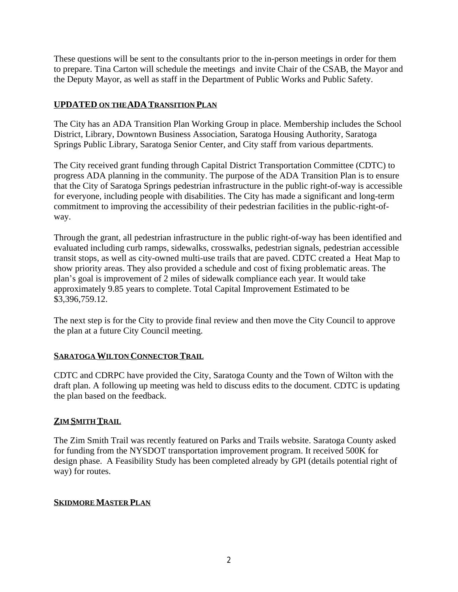These questions will be sent to the consultants prior to the in-person meetings in order for them to prepare. Tina Carton will schedule the meetings and invite Chair of the CSAB, the Mayor and the Deputy Mayor, as well as staff in the Department of Public Works and Public Safety.

## **UPDATED ON THE ADA TRANSITION PLAN**

The City has an ADA Transition Plan Working Group in place. Membership includes the School District, Library, Downtown Business Association, Saratoga Housing Authority, Saratoga Springs Public Library, Saratoga Senior Center, and City staff from various departments.

The City received grant funding through Capital District Transportation Committee (CDTC) to progress ADA planning in the community. The purpose of the ADA Transition Plan is to ensure that the City of Saratoga Springs pedestrian infrastructure in the public right-of-way is accessible for everyone, including people with disabilities. The City has made a significant and long-term commitment to improving the accessibility of their pedestrian facilities in the public-right-ofway.

Through the grant, all pedestrian infrastructure in the public right-of-way has been identified and evaluated including curb ramps, sidewalks, crosswalks, pedestrian signals, pedestrian accessible transit stops, as well as city-owned multi-use trails that are paved. CDTC created a Heat Map to show priority areas. They also provided a schedule and cost of fixing problematic areas. The plan's goal is improvement of 2 miles of sidewalk compliance each year. It would take approximately 9.85 years to complete. Total Capital Improvement Estimated to be \$3,396,759.12.

The next step is for the City to provide final review and then move the City Council to approve the plan at a future City Council meeting.

### **SARATOGA WILTON CONNECTOR TRAIL**

CDTC and CDRPC have provided the City, Saratoga County and the Town of Wilton with the draft plan. A following up meeting was held to discuss edits to the document. CDTC is updating the plan based on the feedback.

### **ZIM SMITH TRAIL**

The Zim Smith Trail was recently featured on Parks and Trails website. Saratoga County asked for funding from the NYSDOT transportation improvement program. It received 500K for design phase. A Feasibility Study has been completed already by GPI (details potential right of way) for routes.

### **SKIDMORE MASTER PLAN**